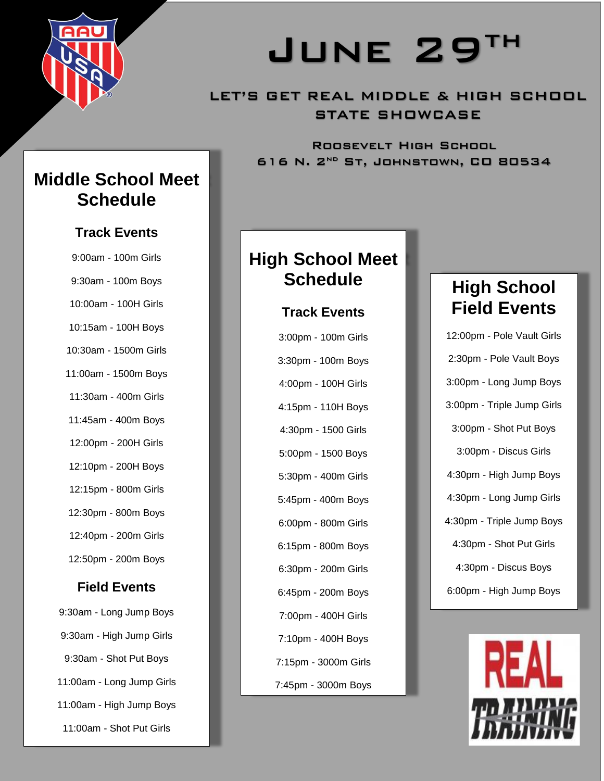

# JUNE 29TH

### LET'S GET REAL MIDDLE & HIGH SCHOOL STATE SHOWCASE

Roosevelt High School 616 N.  $2^{ND}$  St, JOHNSTOWN, CO 80534

## **Middle School Meet Schedule**

#### **Track Events**

9:00am - 100m Girls 9:30am - 100m Boys 10:00am - 100H Girls 10:15am - 100H Boys 10:30am - 1500m Girls 11:00am - 1500m Boys 11:30am - 400m Girls 11:45am - 400m Boys 12:00pm - 200H Girls 12:10pm - 200H Boys 12:15pm - 800m Girls 12:30pm - 800m Boys 12:40pm - 200m Girls 12:50pm - 200m Boys

#### **Field Events**

9:30am - Long Jump Boys 9:30am - High Jump Girls 9:30am - Shot Put Boys 11:00am - Long Jump Girls 11:00am - High Jump Boys 11:00am - Shot Put Girls

## **High School Meet Schedule**

#### **Track Events**

3:00pm - 100m Girls 3:30pm - 100m Boys 4:00pm - 100H Girls 4:15pm - 110H Boys 4:30pm - 1500 Girls 5:00pm - 1500 Boys 5:30pm - 400m Girls 5:45pm - 400m Boys 6:00pm - 800m Girls 6:15pm - 800m Boys 6:30pm - 200m Girls 6:45pm - 200m Boys 7:00pm - 400H Girls 7:10pm - 400H Boys 7:15pm - 3000m Girls 7:45pm - 3000m Boys

# **High School Field Events**

12:00pm - Pole Vault Girls 2:30pm - Pole Vault Boys 3:00pm - Long Jump Boys 3:00pm - Triple Jump Girls 3:00pm - Shot Put Boys 3:00pm - Discus Girls 4:30pm - High Jump Boys 4:30pm - Long Jump Girls 4:30pm - Triple Jump Boys 4:30pm - Shot Put Girls 4:30pm - Discus Boys 6:00pm - High Jump Boys